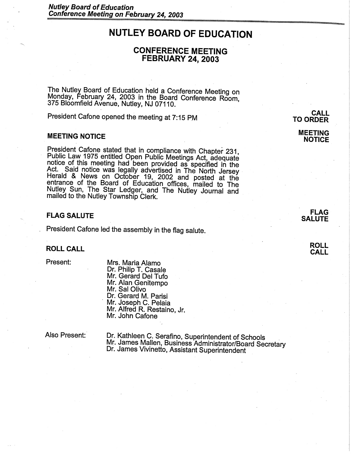# **NUTLEY BOARD OF EDUCATION**

# **CONFERENCE MEETING FEBRUARY 24, 2003**

The Nutley Board of Education held a Conference Meeting on Monday, February 24, 2003 in the Board Conference Room, 375 Bloomfield Avenue, Nutley, NJ 07110.

President Cafone opened the meeting at 7:15 PM

## **MEETING NOTICE**

President Cafone stated that in compliance with Chapter 231, Public Law 1975 entitled Open Public Meetings Act, adequate notice of this meeting had been provided as specified in the Act. Said notice was legally advertised in The North Jersey Herald & News on October 19, 2002 and posted at the entrance of the Board of Education offices, mailed to The Nutley Sun, The Star Ledger, and The Nutley Journal and mailed to the Nutley Township Clerk.

#### **FLAG SALUTE**

President Cafone led the assembly in the flag salute.

### **ROLL CALL**

Present:

Mrs. Maria Alamo Dr. Philip T. Casale Mr. Gerard Del Tufo Mr. Alan Genitempo Mr. Sal Olivo<br>Dr. Gerard M. Parisi Dr. Gerard M. Parisi<br>Mr. Joseph C. Pelaia Mr. Alfred R. Restaino, Jr. Mr. John Cafone

Also Present:

Dr. Kathleen C. Serafino, Superintendent of Schools<br>Mr. James Mallen, Business Administrator/Board Secretary Dr. James Vivinetto, Assistant Superintendent

**CALL TO ORDER** 

> **MEETING NOTICE**

> > **FLAG SALUTE**

> > > **ROLL CALL**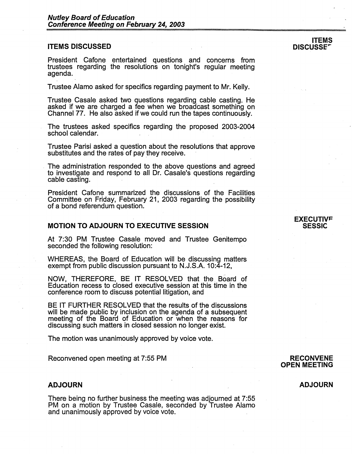#### **ITEMS DISCUSSED**

President Cafone entertained questions and concerns from trustees regarding the resolutions on tonight's regular meeting agenda.

Trustee Alamo asked for specifics regarding payment to Mr. Kelly.

Trustee Casale asked two questions regarding\_ cable casting. He asked if we are charged a fee when we broadcast something on Channel 77. He also asked if we could run the tapes continuously.

The trustees asked specifics regarding the proposed 2003-2004 school calendar.

Trustee Parisi asked a question about the resolutions that approve substitutes and the rates of pay they receive.

. The administration responded to the above questions and agreed to investigate and respond to all Dr. Casale's questions regarding cable casting.

President Cafone summarized the discussions of the Facilities Committee on Friday, February 21, 2003 regarding the possibility of a bond referendum question.

#### **MOTION TO ADJOURN TO EXECUTIVE SESSION**

At 7:30 PM Trustee Casale moved and Trustee Genitempo seconded the following resolution:

WHEREAS, the Board of Education will be discussing matters exempt from public discussion pursuant to N.J.S.A. 10:4-12,

NOW, THEREFORE, BE IT RESOLVED that the Board of Education recess to closed executive session at this time in the conference room to discuss potential litigation, and

BE IT FURTHER RESOLVED that the results of the discussions will be made public by inclusion on the agenda of a subsequent meeting of the Board of Education or when the reasons for discussing such matters in closed session no longer exist.

The motion was unanimously approved by voice vote.

Reconvened open meeting at 7:55 PM

#### **ADJOURN**

There being no further business the meeting was adjourned at 7:55 PM on a motion by Trustee Casale, seconded by Trustee Alamo and unanimously approved by voice vote.

#### **EXECUTIVF SESSIC**

#### **ITEMS DISCUSSE<sup>\*</sup>**

## **RECONVENE OPEN MEETING**

## **ADJOURN**